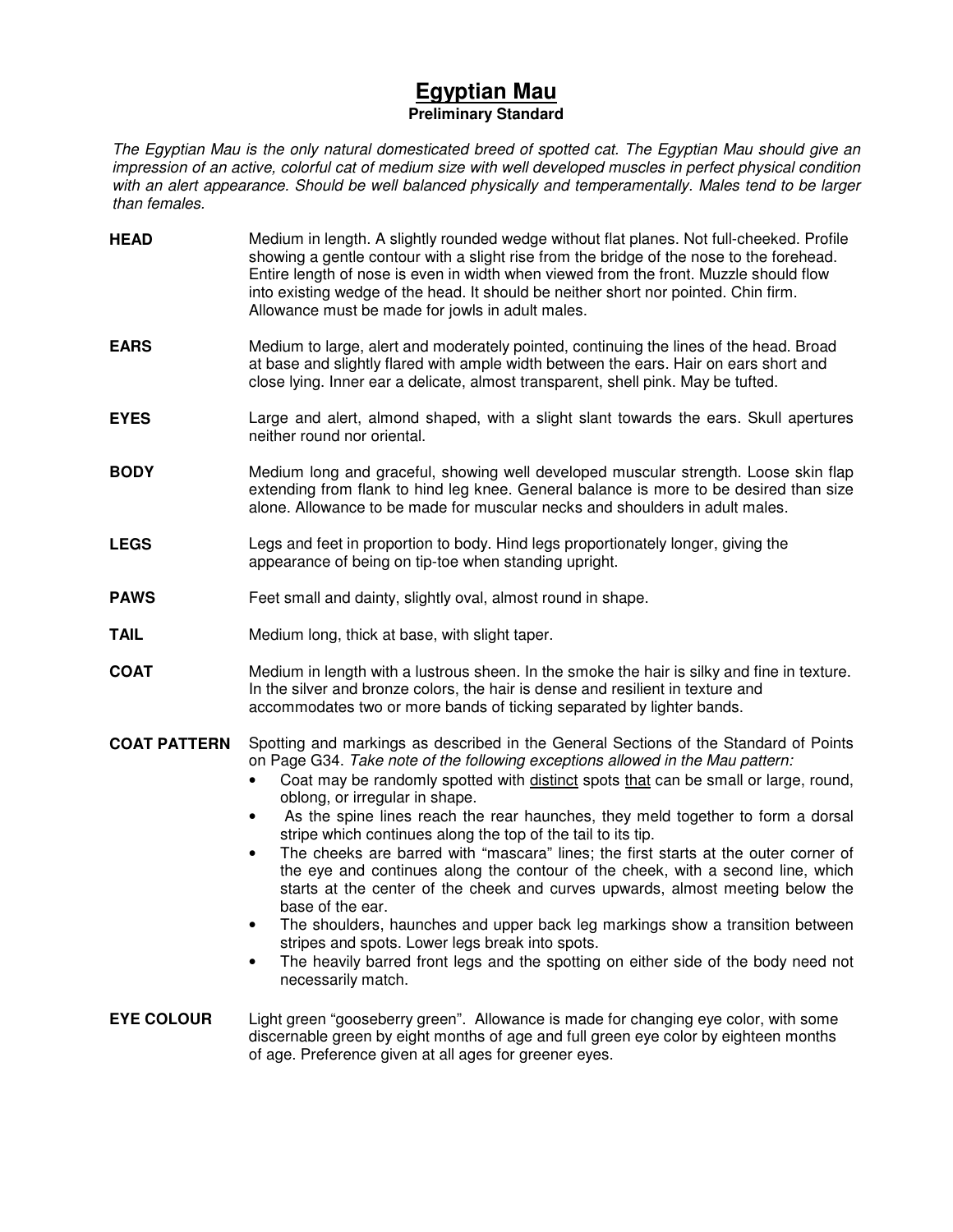# **Egyptian Mau Preliminary Standard**

The Egyptian Mau is the only natural domesticated breed of spotted cat. The Egyptian Mau should give an impression of an active, colorful cat of medium size with well developed muscles in perfect physical condition with an alert appearance. Should be well balanced physically and temperamentally. Males tend to be larger than females.

- **HEAD** Medium in length. A slightly rounded wedge without flat planes. Not full-cheeked. Profile showing a gentle contour with a slight rise from the bridge of the nose to the forehead. Entire length of nose is even in width when viewed from the front. Muzzle should flow into existing wedge of the head. It should be neither short nor pointed. Chin firm. Allowance must be made for jowls in adult males.
- **EARS** Medium to large, alert and moderately pointed, continuing the lines of the head. Broad at base and slightly flared with ample width between the ears. Hair on ears short and close lying. Inner ear a delicate, almost transparent, shell pink. May be tufted.
- **EYES** Large and alert, almond shaped, with a slight slant towards the ears. Skull apertures neither round nor oriental.
- **BODY** Medium long and graceful, showing well developed muscular strength. Loose skin flap extending from flank to hind leg knee. General balance is more to be desired than size alone. Allowance to be made for muscular necks and shoulders in adult males.
- **LEGS** Legs and feet in proportion to body. Hind legs proportionately longer, giving the appearance of being on tip-toe when standing upright.
- **PAWS** Feet small and dainty, slightly oval, almost round in shape.
- **TAIL** Medium long, thick at base, with slight taper.
- **COAT** Medium in length with a lustrous sheen. In the smoke the hair is silky and fine in texture. In the silver and bronze colors, the hair is dense and resilient in texture and accommodates two or more bands of ticking separated by lighter bands.
- **COAT PATTERN** Spotting and markings as described in the General Sections of the Standard of Points on Page G34. Take note of the following exceptions allowed in the Mau pattern:
	- Coat may be randomly spotted with distinct spots that can be small or large, round, oblong, or irregular in shape.
	- As the spine lines reach the rear haunches, they meld together to form a dorsal stripe which continues along the top of the tail to its tip.
	- The cheeks are barred with "mascara" lines; the first starts at the outer corner of the eye and continues along the contour of the cheek, with a second line, which starts at the center of the cheek and curves upwards, almost meeting below the base of the ear.
	- The shoulders, haunches and upper back leg markings show a transition between stripes and spots. Lower legs break into spots.
	- The heavily barred front legs and the spotting on either side of the body need not necessarily match.
- **EYE COLOUR** Light green "gooseberry green". Allowance is made for changing eye color, with some discernable green by eight months of age and full green eye color by eighteen months of age. Preference given at all ages for greener eyes.